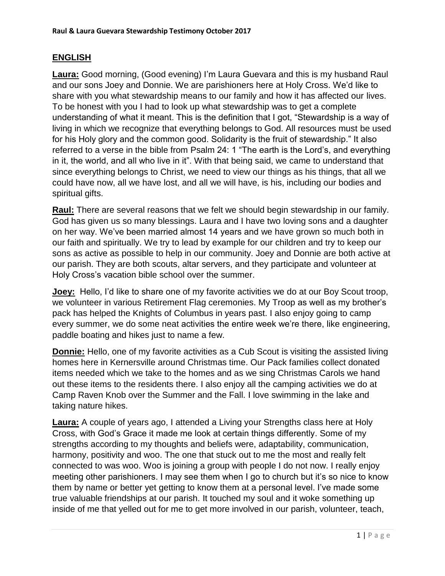## **ENGLISH**

**Laura:** Good morning, (Good evening) I'm Laura Guevara and this is my husband Raul and our sons Joey and Donnie. We are parishioners here at Holy Cross. We'd like to share with you what stewardship means to our family and how it has affected our lives. To be honest with you I had to look up what stewardship was to get a complete understanding of what it meant. This is the definition that I got, "Stewardship is a way of living in which we recognize that everything belongs to God. All resources must be used for his Holy glory and the common good. Solidarity is the fruit of stewardship." It also referred to a verse in the bible from Psalm 24: 1 "The earth is the Lord's, and everything in it, the world, and all who live in it". With that being said, we came to understand that since everything belongs to Christ, we need to view our things as his things, that all we could have now, all we have lost, and all we will have, is his, including our bodies and spiritual gifts.

**Raul:** There are several reasons that we felt we should begin stewardship in our family. God has given us so many blessings. Laura and I have two loving sons and a daughter on her way. We've been married almost 14 years and we have grown so much both in our faith and spiritually. We try to lead by example for our children and try to keep our sons as active as possible to help in our community. Joey and Donnie are both active at our parish. They are both scouts, altar servers, and they participate and volunteer at Holy Cross's vacation bible school over the summer.

**Joey:** Hello, I'd like to share one of my favorite activities we do at our Boy Scout troop, we volunteer in various Retirement Flag ceremonies. My Troop as well as my brother's pack has helped the Knights of Columbus in years past. I also enjoy going to camp every summer, we do some neat activities the entire week we're there, like engineering, paddle boating and hikes just to name a few.

**Donnie:** Hello, one of my favorite activities as a Cub Scout is visiting the assisted living homes here in Kernersville around Christmas time. Our Pack families collect donated items needed which we take to the homes and as we sing Christmas Carols we hand out these items to the residents there. I also enjoy all the camping activities we do at Camp Raven Knob over the Summer and the Fall. I love swimming in the lake and taking nature hikes.

**Laura:** A couple of years ago, I attended a Living your Strengths class here at Holy Cross, with God's Grace it made me look at certain things differently. Some of my strengths according to my thoughts and beliefs were, adaptability, communication, harmony, positivity and woo. The one that stuck out to me the most and really felt connected to was woo. Woo is joining a group with people I do not now. I really enjoy meeting other parishioners. I may see them when I go to church but it's so nice to know them by name or better yet getting to know them at a personal level. I've made some true valuable friendships at our parish. It touched my soul and it woke something up inside of me that yelled out for me to get more involved in our parish, volunteer, teach,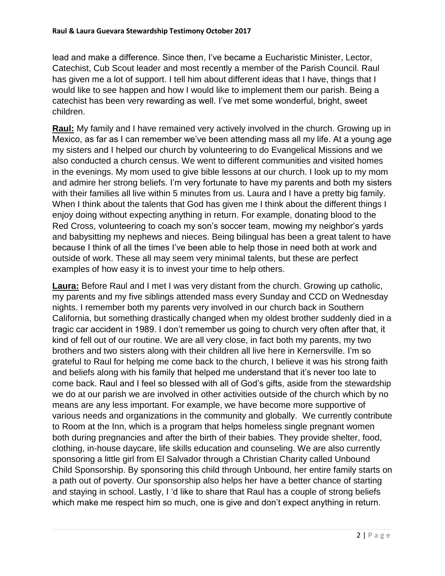lead and make a difference. Since then, I've became a Eucharistic Minister, Lector, Catechist, Cub Scout leader and most recently a member of the Parish Council. Raul has given me a lot of support. I tell him about different ideas that I have, things that I would like to see happen and how I would like to implement them our parish. Being a catechist has been very rewarding as well. I've met some wonderful, bright, sweet children.

**Raul:** My family and I have remained very actively involved in the church. Growing up in Mexico, as far as I can remember we've been attending mass all my life. At a young age my sisters and I helped our church by volunteering to do Evangelical Missions and we also conducted a church census. We went to different communities and visited homes in the evenings. My mom used to give bible lessons at our church. I look up to my mom and admire her strong beliefs. I'm very fortunate to have my parents and both my sisters with their families all live within 5 minutes from us. Laura and I have a pretty big family. When I think about the talents that God has given me I think about the different things I enjoy doing without expecting anything in return. For example, donating blood to the Red Cross, volunteering to coach my son's soccer team, mowing my neighbor's yards and babysitting my nephews and nieces. Being bilingual has been a great talent to have because I think of all the times I've been able to help those in need both at work and outside of work. These all may seem very minimal talents, but these are perfect examples of how easy it is to invest your time to help others.

**Laura:** Before Raul and I met I was very distant from the church. Growing up catholic, my parents and my five siblings attended mass every Sunday and CCD on Wednesday nights. I remember both my parents very involved in our church back in Southern California, but something drastically changed when my oldest brother suddenly died in a tragic car accident in 1989. I don't remember us going to church very often after that, it kind of fell out of our routine. We are all very close, in fact both my parents, my two brothers and two sisters along with their children all live here in Kernersville. I'm so grateful to Raul for helping me come back to the church, I believe it was his strong faith and beliefs along with his family that helped me understand that it's never too late to come back. Raul and I feel so blessed with all of God's gifts, aside from the stewardship we do at our parish we are involved in other activities outside of the church which by no means are any less important. For example, we have become more supportive of various needs and organizations in the community and globally. We currently contribute to Room at the Inn, which is a program that helps homeless single pregnant women both during pregnancies and after the birth of their babies. They provide shelter, food, clothing, in-house daycare, life skills education and counseling. We are also currently sponsoring a little girl from El Salvador through a Christian Charity called Unbound Child Sponsorship. By sponsoring this child through Unbound, her entire family starts on a path out of poverty. Our sponsorship also helps her have a better chance of starting and staying in school. Lastly, I 'd like to share that Raul has a couple of strong beliefs which make me respect him so much, one is give and don't expect anything in return.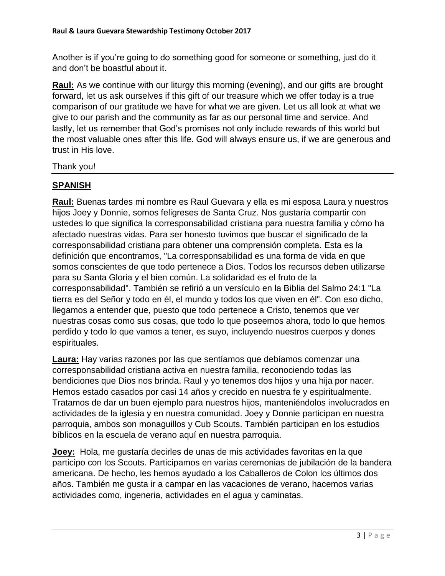Another is if you're going to do something good for someone or something, just do it and don't be boastful about it.

**Raul:** As we continue with our liturgy this morning (evening), and our gifts are brought forward, let us ask ourselves if this gift of our treasure which we offer today is a true comparison of our gratitude we have for what we are given. Let us all look at what we give to our parish and the community as far as our personal time and service. And lastly, let us remember that God's promises not only include rewards of this world but the most valuable ones after this life. God will always ensure us, if we are generous and trust in His love.

Thank you!

## **SPANISH**

**Raul:** Buenas tardes mi nombre es Raul Guevara y ella es mi esposa Laura y nuestros hijos Joey y Donnie, somos feligreses de Santa Cruz. Nos gustaría compartir con ustedes lo que significa la corresponsabilidad cristiana para nuestra familia y cómo ha afectado nuestras vidas. Para ser honesto tuvimos que buscar el significado de la corresponsabilidad cristiana para obtener una comprensión completa. Esta es la definición que encontramos, "La corresponsabilidad es una forma de vida en que somos conscientes de que todo pertenece a Dios. Todos los recursos deben utilizarse para su Santa Gloria y el bien común. La solidaridad es el fruto de la corresponsabilidad". También se refirió a un versículo en la Biblia del Salmo 24:1 "La tierra es del Señor y todo en él, el mundo y todos los que viven en él". Con eso dicho, llegamos a entender que, puesto que todo pertenece a Cristo, tenemos que ver nuestras cosas como sus cosas, que todo lo que poseemos ahora, todo lo que hemos perdido y todo lo que vamos a tener, es suyo, incluyendo nuestros cuerpos y dones espirituales.

**Laura:** Hay varias razones por las que sentíamos que debíamos comenzar una corresponsabilidad cristiana activa en nuestra familia, reconociendo todas las bendiciones que Dios nos brinda. Raul y yo tenemos dos hijos y una hija por nacer. Hemos estado casados por casi 14 años y crecido en nuestra fe y espiritualmente. Tratamos de dar un buen ejemplo para nuestros hijos, manteniéndolos involucrados en actividades de la iglesia y en nuestra comunidad. Joey y Donnie participan en nuestra parroquia, ambos son monaguillos y Cub Scouts. También participan en los estudios bíblicos en la escuela de verano aquí en nuestra parroquia.

**Joey:** Hola, me gustaría decirles de unas de mis actividades favoritas en la que participo con los Scouts. Participamos en varias ceremonias de jubilación de la bandera americana. De hecho, les hemos ayudado a los Caballeros de Colon los últimos dos años. También me gusta ir a campar en las vacaciones de verano, hacemos varias actividades como, ingeneria, actividades en el agua y caminatas.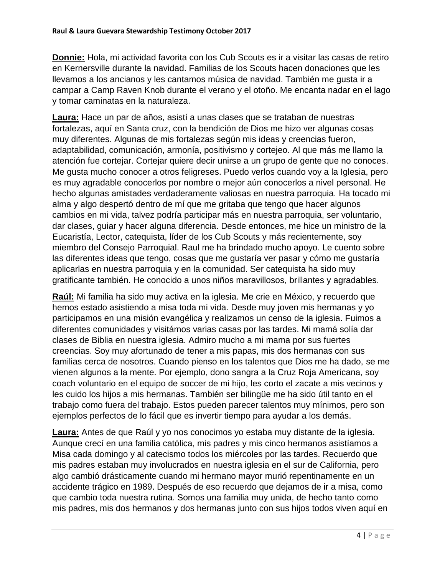**Donnie:** Hola, mi actividad favorita con los Cub Scouts es ir a visitar las casas de retiro en Kernersville durante la navidad. Familias de los Scouts hacen donaciones que les llevamos a los ancianos y les cantamos música de navidad. También me gusta ir a campar a Camp Raven Knob durante el verano y el otoño. Me encanta nadar en el lago y tomar caminatas en la naturaleza.

**Laura:** Hace un par de años, asistí a unas clases que se trataban de nuestras fortalezas, aquí en Santa cruz, con la bendición de Dios me hizo ver algunas cosas muy diferentes. Algunas de mis fortalezas según mis ideas y creencias fueron, adaptabilidad, comunicación, armonía, positivismo y cortejeo. Al que más me llamo la atención fue cortejar. Cortejar quiere decir unirse a un grupo de gente que no conoces. Me gusta mucho conocer a otros feligreses. Puedo verlos cuando voy a la Iglesia, pero es muy agradable conocerlos por nombre o mejor aún conocerlos a nivel personal. He hecho algunas amistades verdaderamente valiosas en nuestra parroquia. Ha tocado mi alma y algo despertó dentro de mí que me gritaba que tengo que hacer algunos cambios en mi vida, talvez podría participar más en nuestra parroquia, ser voluntario, dar clases, guiar y hacer alguna diferencia. Desde entonces, me hice un ministro de la Eucaristía, Lector, catequista, líder de los Cub Scouts y más recientemente, soy miembro del Consejo Parroquial. Raul me ha brindado mucho apoyo. Le cuento sobre las diferentes ideas que tengo, cosas que me gustaría ver pasar y cómo me gustaría aplicarlas en nuestra parroquia y en la comunidad. Ser catequista ha sido muy gratificante también. He conocido a unos niños maravillosos, brillantes y agradables.

**Raúl:** Mi familia ha sido muy activa en la iglesia. Me crie en México, y recuerdo que hemos estado asistiendo a misa toda mi vida. Desde muy joven mis hermanas y yo participamos en una misión evangélica y realizamos un censo de la iglesia. Fuimos a diferentes comunidades y visitámos varias casas por las tardes. Mi mamá solía dar clases de Biblia en nuestra iglesia. Admiro mucho a mi mama por sus fuertes creencias. Soy muy afortunado de tener a mis papas, mis dos hermanas con sus familias cerca de nosotros. Cuando pienso en los talentos que Dios me ha dado, se me vienen algunos a la mente. Por ejemplo, dono sangra a la Cruz Roja Americana, soy coach voluntario en el equipo de soccer de mi hijo, les corto el zacate a mis vecinos y les cuido los hijos a mis hermanas. También ser bilingüe me ha sido útil tanto en el trabajo como fuera del trabajo. Estos pueden parecer talentos muy mínimos, pero son ejemplos perfectos de lo fácil que es invertir tiempo para ayudar a los demás.

**Laura:** Antes de que Raúl y yo nos conocimos yo estaba muy distante de la iglesia. Aunque crecí en una familia católica, mis padres y mis cinco hermanos asistíamos a Misa cada domingo y al catecismo todos los miércoles por las tardes. Recuerdo que mis padres estaban muy involucrados en nuestra iglesia en el sur de California, pero algo cambió drásticamente cuando mi hermano mayor murió repentinamente en un accidente trágico en 1989. Después de eso recuerdo que dejamos de ir a misa, como que cambio toda nuestra rutina. Somos una familia muy unida, de hecho tanto como mis padres, mis dos hermanos y dos hermanas junto con sus hijos todos viven aquí en